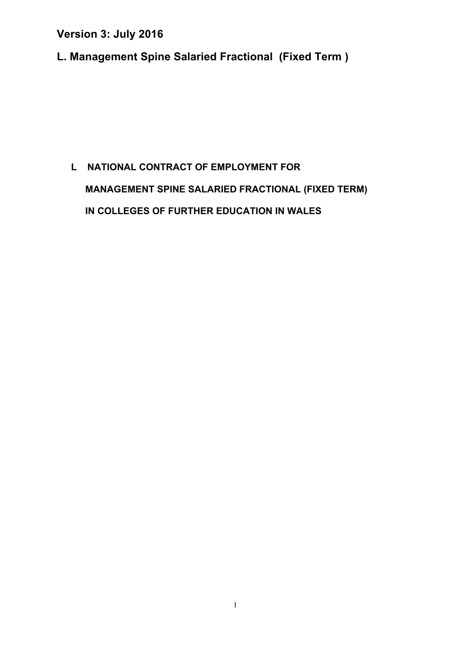**L. Management Spine Salaried Fractional (Fixed Term )** 

# **L NATIONAL CONTRACT OF EMPLOYMENT FOR MANAGEMENT SPINE SALARIED FRACTIONAL (FIXED TERM) IN COLLEGES OF FURTHER EDUCATION IN WALES**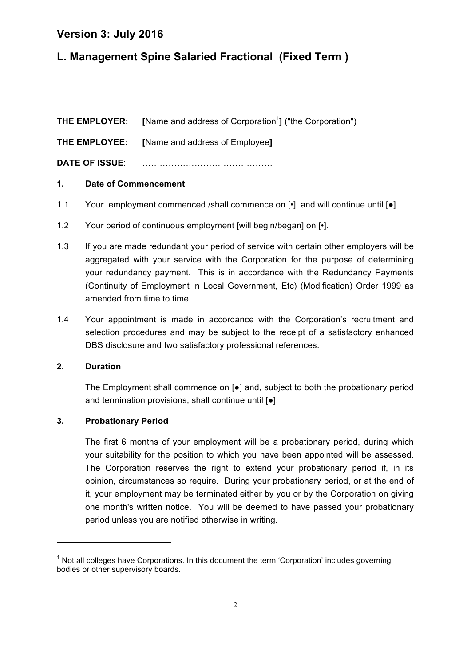# **L. Management Spine Salaried Fractional (Fixed Term )**

**THE EMPLOYER:** [Name and address of Corporation<sup>1</sup>] ("the Corporation")

**THE EMPLOYEE: [**Name and address of Employee**]**

**DATE OF ISSUE**: ………………………………………

#### **1. Date of Commencement**

- 1.1 Your employment commenced /shall commence on  $\lceil \cdot \rceil$  and will continue until  $\lceil \bullet \rceil$ .
- 1.2 Your period of continuous employment [will begin/began] on [ $\cdot$ ].
- 1.3 If you are made redundant your period of service with certain other employers will be aggregated with your service with the Corporation for the purpose of determining your redundancy payment. This is in accordance with the Redundancy Payments (Continuity of Employment in Local Government, Etc) (Modification) Order 1999 as amended from time to time.
- 1.4 Your appointment is made in accordance with the Corporation's recruitment and selection procedures and may be subject to the receipt of a satisfactory enhanced DBS disclosure and two satisfactory professional references.

#### **2. Duration**

The Employment shall commence on [●] and, subject to both the probationary period and termination provisions, shall continue until [●].

#### **3. Probationary Period**

<u> 1989 - Jan Samuel Barbara, margaret e</u>

The first 6 months of your employment will be a probationary period, during which your suitability for the position to which you have been appointed will be assessed. The Corporation reserves the right to extend your probationary period if, in its opinion, circumstances so require. During your probationary period, or at the end of it, your employment may be terminated either by you or by the Corporation on giving one month's written notice. You will be deemed to have passed your probationary period unless you are notified otherwise in writing.

 $1$  Not all colleges have Corporations. In this document the term 'Corporation' includes governing bodies or other supervisory boards.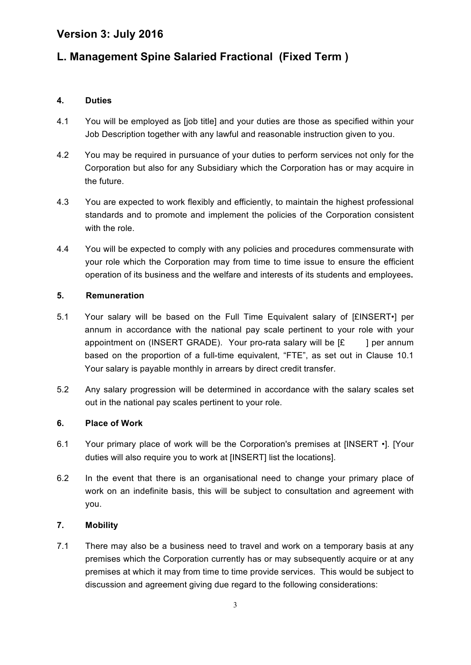# **L. Management Spine Salaried Fractional (Fixed Term )**

#### **4. Duties**

- 4.1 You will be employed as [job title] and your duties are those as specified within your Job Description together with any lawful and reasonable instruction given to you.
- 4.2 You may be required in pursuance of your duties to perform services not only for the Corporation but also for any Subsidiary which the Corporation has or may acquire in the future.
- 4.3 You are expected to work flexibly and efficiently, to maintain the highest professional standards and to promote and implement the policies of the Corporation consistent with the role.
- 4.4 You will be expected to comply with any policies and procedures commensurate with your role which the Corporation may from time to time issue to ensure the efficient operation of its business and the welfare and interests of its students and employees**.**

#### **5. Remuneration**

- 5.1 Your salary will be based on the Full Time Equivalent salary of [£INSERT•] per annum in accordance with the national pay scale pertinent to your role with your appointment on (INSERT GRADE). Your pro-rata salary will be  $E = 1$  per annum based on the proportion of a full-time equivalent, "FTE", as set out in Clause 10.1 Your salary is payable monthly in arrears by direct credit transfer.
- 5.2 Any salary progression will be determined in accordance with the salary scales set out in the national pay scales pertinent to your role.

#### **6. Place of Work**

- 6.1 Your primary place of work will be the Corporation's premises at [INSERT •]. [Your duties will also require you to work at [INSERT] list the locations].
- 6.2 In the event that there is an organisational need to change your primary place of work on an indefinite basis, this will be subject to consultation and agreement with you.

#### **7. Mobility**

7.1 There may also be a business need to travel and work on a temporary basis at any premises which the Corporation currently has or may subsequently acquire or at any premises at which it may from time to time provide services. This would be subject to discussion and agreement giving due regard to the following considerations: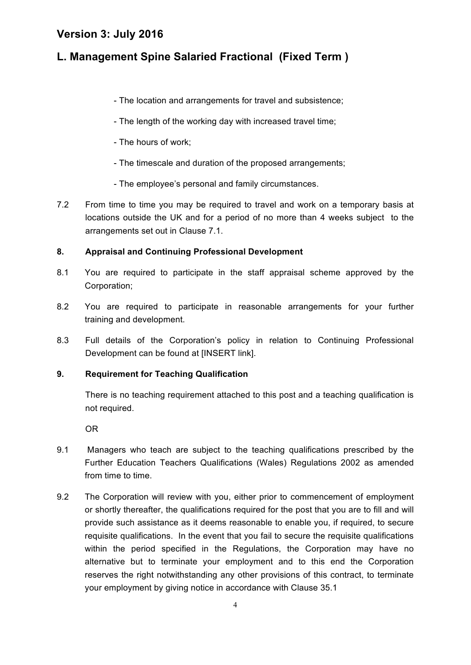# **L. Management Spine Salaried Fractional (Fixed Term )**

- The location and arrangements for travel and subsistence;
- The length of the working day with increased travel time;
- The hours of work;
- The timescale and duration of the proposed arrangements;
- The employee's personal and family circumstances.
- 7.2 From time to time you may be required to travel and work on a temporary basis at locations outside the UK and for a period of no more than 4 weeks subject to the arrangements set out in Clause 7.1.

#### **8. Appraisal and Continuing Professional Development**

- 8.1 You are required to participate in the staff appraisal scheme approved by the Corporation;
- 8.2 You are required to participate in reasonable arrangements for your further training and development.
- 8.3 Full details of the Corporation's policy in relation to Continuing Professional Development can be found at [INSERT link].

#### **9. Requirement for Teaching Qualification**

There is no teaching requirement attached to this post and a teaching qualification is not required.

OR

- 9.1 Managers who teach are subject to the teaching qualifications prescribed by the Further Education Teachers Qualifications (Wales) Regulations 2002 as amended from time to time.
- 9.2 The Corporation will review with you, either prior to commencement of employment or shortly thereafter, the qualifications required for the post that you are to fill and will provide such assistance as it deems reasonable to enable you, if required, to secure requisite qualifications. In the event that you fail to secure the requisite qualifications within the period specified in the Regulations, the Corporation may have no alternative but to terminate your employment and to this end the Corporation reserves the right notwithstanding any other provisions of this contract, to terminate your employment by giving notice in accordance with Clause 35.1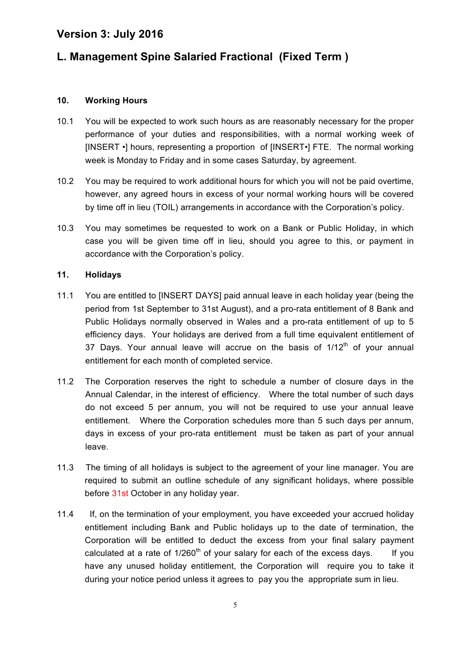# **L. Management Spine Salaried Fractional (Fixed Term )**

#### **10. Working Hours**

- 10.1 You will be expected to work such hours as are reasonably necessary for the proper performance of your duties and responsibilities, with a normal working week of [INSERT •] hours, representing a proportion of [INSERT•] FTE. The normal working week is Monday to Friday and in some cases Saturday, by agreement.
- 10.2 You may be required to work additional hours for which you will not be paid overtime, however, any agreed hours in excess of your normal working hours will be covered by time off in lieu (TOIL) arrangements in accordance with the Corporation's policy.
- 10.3 You may sometimes be requested to work on a Bank or Public Holiday, in which case you will be given time off in lieu, should you agree to this, or payment in accordance with the Corporation's policy.

#### **11. Holidays**

- 11.1 You are entitled to [INSERT DAYS] paid annual leave in each holiday year (being the period from 1st September to 31st August), and a pro-rata entitlement of 8 Bank and Public Holidays normally observed in Wales and a pro-rata entitlement of up to 5 efficiency days. Your holidays are derived from a full time equivalent entitlement of 37 Days. Your annual leave will accrue on the basis of  $1/12<sup>th</sup>$  of your annual entitlement for each month of completed service.
- 11.2 The Corporation reserves the right to schedule a number of closure days in the Annual Calendar, in the interest of efficiency. Where the total number of such days do not exceed 5 per annum, you will not be required to use your annual leave entitlement. Where the Corporation schedules more than 5 such days per annum, days in excess of your pro-rata entitlement must be taken as part of your annual leave.
- 11.3 The timing of all holidays is subject to the agreement of your line manager. You are required to submit an outline schedule of any significant holidays, where possible before 31st October in any holiday year.
- 11.4 If, on the termination of your employment, you have exceeded your accrued holiday entitlement including Bank and Public holidays up to the date of termination, the Corporation will be entitled to deduct the excess from your final salary payment calculated at a rate of  $1/260<sup>th</sup>$  of your salary for each of the excess days. If you have any unused holiday entitlement, the Corporation will require you to take it during your notice period unless it agrees to pay you the appropriate sum in lieu.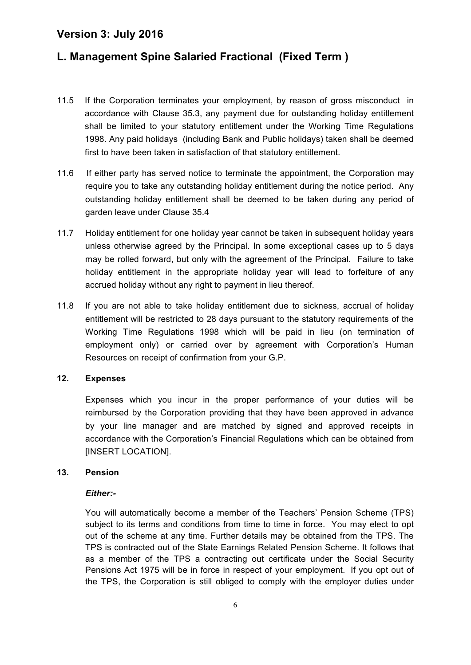# **L. Management Spine Salaried Fractional (Fixed Term )**

- 11.5 If the Corporation terminates your employment, by reason of gross misconduct in accordance with Clause 35.3, any payment due for outstanding holiday entitlement shall be limited to your statutory entitlement under the Working Time Regulations 1998. Any paid holidays (including Bank and Public holidays) taken shall be deemed first to have been taken in satisfaction of that statutory entitlement.
- 11.6 If either party has served notice to terminate the appointment, the Corporation may require you to take any outstanding holiday entitlement during the notice period. Any outstanding holiday entitlement shall be deemed to be taken during any period of garden leave under Clause 35.4
- 11.7 Holiday entitlement for one holiday year cannot be taken in subsequent holiday years unless otherwise agreed by the Principal. In some exceptional cases up to 5 days may be rolled forward, but only with the agreement of the Principal. Failure to take holiday entitlement in the appropriate holiday year will lead to forfeiture of any accrued holiday without any right to payment in lieu thereof*.*
- 11.8 If you are not able to take holiday entitlement due to sickness, accrual of holiday entitlement will be restricted to 28 days pursuant to the statutory requirements of the Working Time Regulations 1998 which will be paid in lieu (on termination of employment only) or carried over by agreement with Corporation's Human Resources on receipt of confirmation from your G.P.

#### **12. Expenses**

Expenses which you incur in the proper performance of your duties will be reimbursed by the Corporation providing that they have been approved in advance by your line manager and are matched by signed and approved receipts in accordance with the Corporation's Financial Regulations which can be obtained from [INSERT LOCATION].

#### **13. Pension**

#### *Either:-*

You will automatically become a member of the Teachers' Pension Scheme (TPS) subject to its terms and conditions from time to time in force. You may elect to opt out of the scheme at any time. Further details may be obtained from the TPS. The TPS is contracted out of the State Earnings Related Pension Scheme. It follows that as a member of the TPS a contracting out certificate under the Social Security Pensions Act 1975 will be in force in respect of your employment. If you opt out of the TPS, the Corporation is still obliged to comply with the employer duties under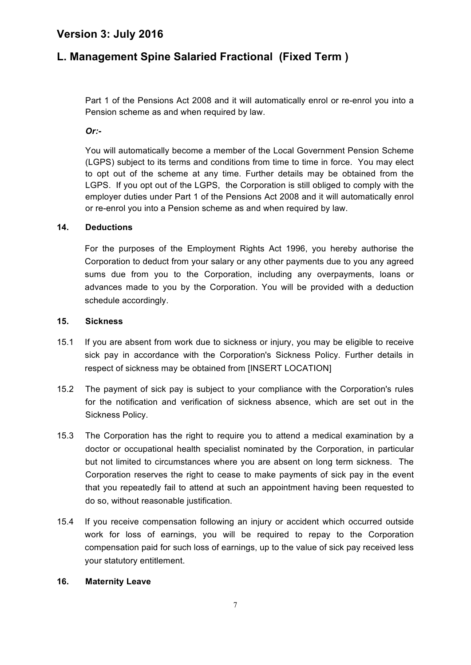# **L. Management Spine Salaried Fractional (Fixed Term )**

Part 1 of the Pensions Act 2008 and it will automatically enrol or re-enrol you into a Pension scheme as and when required by law.

*Or:-*

You will automatically become a member of the Local Government Pension Scheme (LGPS) subject to its terms and conditions from time to time in force. You may elect to opt out of the scheme at any time. Further details may be obtained from the LGPS. If you opt out of the LGPS, the Corporation is still obliged to comply with the employer duties under Part 1 of the Pensions Act 2008 and it will automatically enrol or re-enrol you into a Pension scheme as and when required by law.

#### **14. Deductions**

For the purposes of the Employment Rights Act 1996, you hereby authorise the Corporation to deduct from your salary or any other payments due to you any agreed sums due from you to the Corporation, including any overpayments, loans or advances made to you by the Corporation. You will be provided with a deduction schedule accordingly.

#### **15. Sickness**

- 15.1 If you are absent from work due to sickness or injury, you may be eligible to receive sick pay in accordance with the Corporation's Sickness Policy. Further details in respect of sickness may be obtained from [INSERT LOCATION]
- 15.2 The payment of sick pay is subject to your compliance with the Corporation's rules for the notification and verification of sickness absence, which are set out in the Sickness Policy.
- 15.3 The Corporation has the right to require you to attend a medical examination by a doctor or occupational health specialist nominated by the Corporation, in particular but not limited to circumstances where you are absent on long term sickness. The Corporation reserves the right to cease to make payments of sick pay in the event that you repeatedly fail to attend at such an appointment having been requested to do so, without reasonable justification.
- 15.4 If you receive compensation following an injury or accident which occurred outside work for loss of earnings, you will be required to repay to the Corporation compensation paid for such loss of earnings, up to the value of sick pay received less your statutory entitlement.

#### **16. Maternity Leave**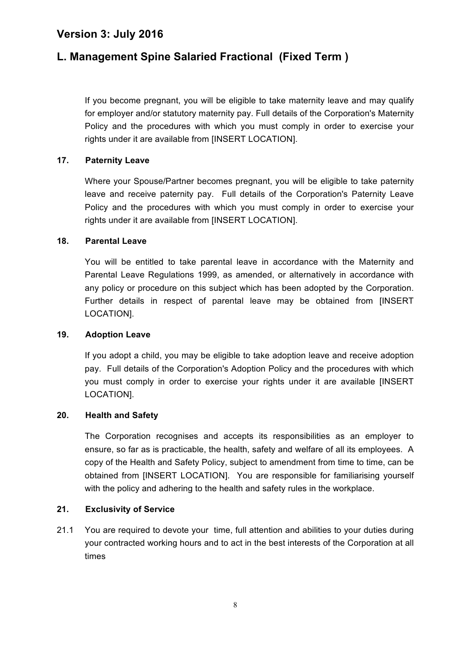# **L. Management Spine Salaried Fractional (Fixed Term )**

If you become pregnant, you will be eligible to take maternity leave and may qualify for employer and/or statutory maternity pay. Full details of the Corporation's Maternity Policy and the procedures with which you must comply in order to exercise your rights under it are available from [INSERT LOCATION].

#### **17. Paternity Leave**

Where your Spouse/Partner becomes pregnant, you will be eligible to take paternity leave and receive paternity pay. Full details of the Corporation's Paternity Leave Policy and the procedures with which you must comply in order to exercise your rights under it are available from [INSERT LOCATION].

#### **18. Parental Leave**

You will be entitled to take parental leave in accordance with the Maternity and Parental Leave Regulations 1999, as amended, or alternatively in accordance with any policy or procedure on this subject which has been adopted by the Corporation. Further details in respect of parental leave may be obtained from [INSERT LOCATION].

#### **19. Adoption Leave**

If you adopt a child, you may be eligible to take adoption leave and receive adoption pay. Full details of the Corporation's Adoption Policy and the procedures with which you must comply in order to exercise your rights under it are available [INSERT LOCATION].

#### **20. Health and Safety**

The Corporation recognises and accepts its responsibilities as an employer to ensure, so far as is practicable, the health, safety and welfare of all its employees. A copy of the Health and Safety Policy, subject to amendment from time to time, can be obtained from [INSERT LOCATION]. You are responsible for familiarising yourself with the policy and adhering to the health and safety rules in the workplace.

#### **21. Exclusivity of Service**

21.1 You are required to devote your time, full attention and abilities to your duties during your contracted working hours and to act in the best interests of the Corporation at all times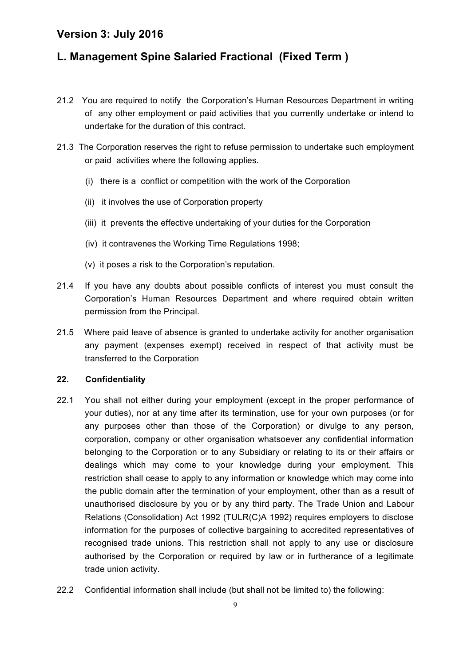# **L. Management Spine Salaried Fractional (Fixed Term )**

- 21.2 You are required to notify the Corporation's Human Resources Department in writing of any other employment or paid activities that you currently undertake or intend to undertake for the duration of this contract.
- 21.3 The Corporation reserves the right to refuse permission to undertake such employment or paid activities where the following applies.
	- (i) there is a conflict or competition with the work of the Corporation
	- (ii) it involves the use of Corporation property
	- (iii) it prevents the effective undertaking of your duties for the Corporation
	- (iv) it contravenes the Working Time Regulations 1998;
	- (v) it poses a risk to the Corporation's reputation.
- 21.4 If you have any doubts about possible conflicts of interest you must consult the Corporation's Human Resources Department and where required obtain written permission from the Principal.
- 21.5 Where paid leave of absence is granted to undertake activity for another organisation any payment (expenses exempt) received in respect of that activity must be transferred to the Corporation

#### **22. Confidentiality**

- 22.1 You shall not either during your employment (except in the proper performance of your duties), nor at any time after its termination, use for your own purposes (or for any purposes other than those of the Corporation) or divulge to any person, corporation, company or other organisation whatsoever any confidential information belonging to the Corporation or to any Subsidiary or relating to its or their affairs or dealings which may come to your knowledge during your employment. This restriction shall cease to apply to any information or knowledge which may come into the public domain after the termination of your employment, other than as a result of unauthorised disclosure by you or by any third party. The Trade Union and Labour Relations (Consolidation) Act 1992 (TULR(C)A 1992) requires employers to disclose information for the purposes of collective bargaining to accredited representatives of recognised trade unions. This restriction shall not apply to any use or disclosure authorised by the Corporation or required by law or in furtherance of a legitimate trade union activity.
- 22.2 Confidential information shall include (but shall not be limited to) the following: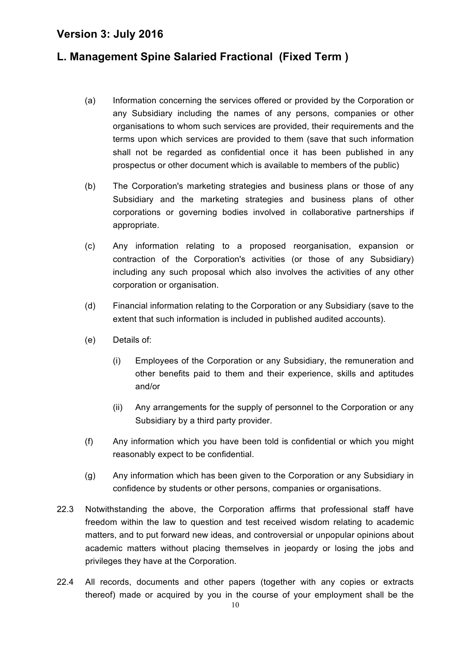# **L. Management Spine Salaried Fractional (Fixed Term )**

- (a) Information concerning the services offered or provided by the Corporation or any Subsidiary including the names of any persons, companies or other organisations to whom such services are provided, their requirements and the terms upon which services are provided to them (save that such information shall not be regarded as confidential once it has been published in any prospectus or other document which is available to members of the public)
- (b) The Corporation's marketing strategies and business plans or those of any Subsidiary and the marketing strategies and business plans of other corporations or governing bodies involved in collaborative partnerships if appropriate.
- (c) Any information relating to a proposed reorganisation, expansion or contraction of the Corporation's activities (or those of any Subsidiary) including any such proposal which also involves the activities of any other corporation or organisation.
- (d) Financial information relating to the Corporation or any Subsidiary (save to the extent that such information is included in published audited accounts).
- (e) Details of:
	- (i) Employees of the Corporation or any Subsidiary, the remuneration and other benefits paid to them and their experience, skills and aptitudes and/or
	- (ii) Any arrangements for the supply of personnel to the Corporation or any Subsidiary by a third party provider.
- (f) Any information which you have been told is confidential or which you might reasonably expect to be confidential.
- (g) Any information which has been given to the Corporation or any Subsidiary in confidence by students or other persons, companies or organisations.
- 22.3 Notwithstanding the above, the Corporation affirms that professional staff have freedom within the law to question and test received wisdom relating to academic matters, and to put forward new ideas, and controversial or unpopular opinions about academic matters without placing themselves in jeopardy or losing the jobs and privileges they have at the Corporation.
- 22.4 All records, documents and other papers (together with any copies or extracts thereof) made or acquired by you in the course of your employment shall be the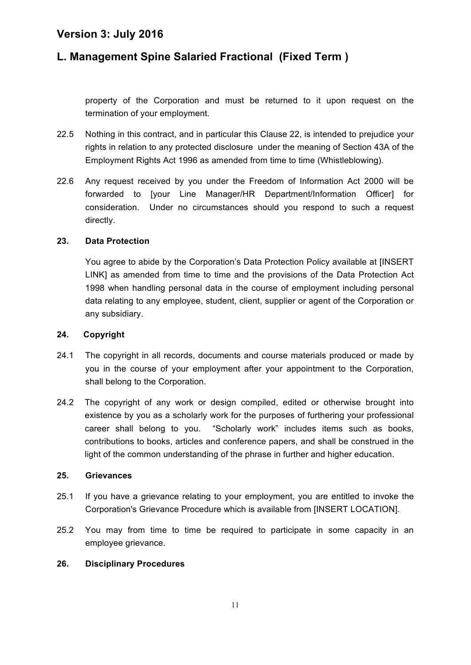# **L. Management Spine Salaried Fractional (Fixed Term )**

property of the Corporation and must be returned to it upon request on the termination of your employment.

- 22.5 Nothing in this contract, and in particular this Clause 22, is intended to prejudice your rights in relation to any protected disclosure under the meaning of Section 43A of the Employment Rights Act 1996 as amended from time to time (Whistleblowing).
- 22.6 Any request received by you under the Freedom of Information Act 2000 will be forwarded to [your Line Manager/HR Department/Information Officer] for consideration. Under no circumstances should you respond to such a request directly.

#### **23. Data Protection**

You agree to abide by the Corporation's Data Protection Policy available at [INSERT LINK] as amended from time to time and the provisions of the Data Protection Act 1998 when handling personal data in the course of employment including personal data relating to any employee, student, client, supplier or agent of the Corporation or any subsidiary.

#### **24. Copyright**

- 24.1 The copyright in all records, documents and course materials produced or made by you in the course of your employment after your appointment to the Corporation, shall belong to the Corporation.
- 24.2 The copyright of any work or design compiled, edited or otherwise brought into existence by you as a scholarly work for the purposes of furthering your professional career shall belong to you. "Scholarly work" includes items such as books, contributions to books, articles and conference papers, and shall be construed in the light of the common understanding of the phrase in further and higher education.

#### **25. Grievances**

- 25.1 If you have a grievance relating to your employment, you are entitled to invoke the Corporation's Grievance Procedure which is available from [INSERT LOCATION].
- 25.2 You may from time to time be required to participate in some capacity in an employee grievance.

#### **26. Disciplinary Procedures**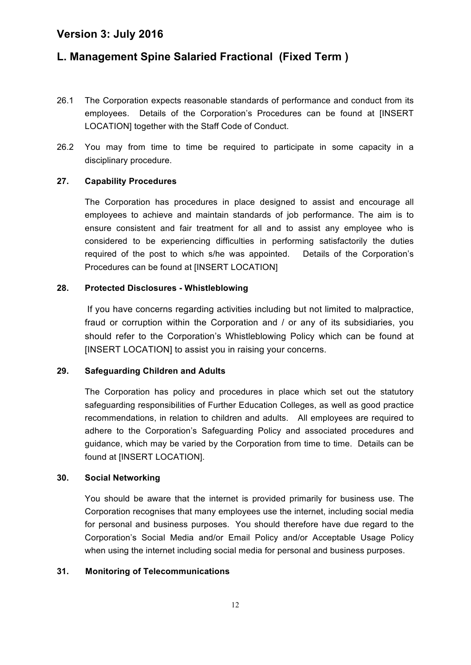# **L. Management Spine Salaried Fractional (Fixed Term )**

- 26.1 The Corporation expects reasonable standards of performance and conduct from its employees. Details of the Corporation's Procedures can be found at [INSERT LOCATION] together with the Staff Code of Conduct.
- 26.2 You may from time to time be required to participate in some capacity in a disciplinary procedure.

#### **27. Capability Procedures**

The Corporation has procedures in place designed to assist and encourage all employees to achieve and maintain standards of job performance. The aim is to ensure consistent and fair treatment for all and to assist any employee who is considered to be experiencing difficulties in performing satisfactorily the duties required of the post to which s/he was appointed. Details of the Corporation's Procedures can be found at [INSERT LOCATION]

#### **28. Protected Disclosures - Whistleblowing**

If you have concerns regarding activities including but not limited to malpractice, fraud or corruption within the Corporation and / or any of its subsidiaries, you should refer to the Corporation's Whistleblowing Policy which can be found at [INSERT LOCATION] to assist you in raising your concerns.

#### **29. Safeguarding Children and Adults**

The Corporation has policy and procedures in place which set out the statutory safeguarding responsibilities of Further Education Colleges, as well as good practice recommendations, in relation to children and adults. All employees are required to adhere to the Corporation's Safeguarding Policy and associated procedures and guidance, which may be varied by the Corporation from time to time. Details can be found at IINSERT LOCATIONI.

#### **30. Social Networking**

You should be aware that the internet is provided primarily for business use. The Corporation recognises that many employees use the internet, including social media for personal and business purposes. You should therefore have due regard to the Corporation's Social Media and/or Email Policy and/or Acceptable Usage Policy when using the internet including social media for personal and business purposes.

#### **31. Monitoring of Telecommunications**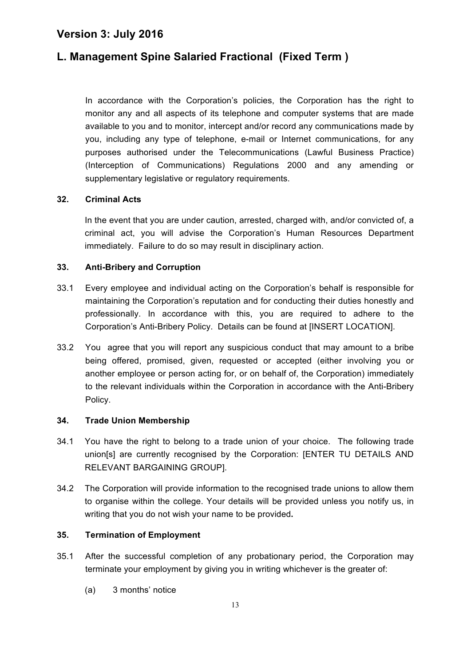### **L. Management Spine Salaried Fractional (Fixed Term )**

In accordance with the Corporation's policies, the Corporation has the right to monitor any and all aspects of its telephone and computer systems that are made available to you and to monitor, intercept and/or record any communications made by you, including any type of telephone, e-mail or Internet communications, for any purposes authorised under the Telecommunications (Lawful Business Practice) (Interception of Communications) Regulations 2000 and any amending or supplementary legislative or regulatory requirements.

#### **32. Criminal Acts**

In the event that you are under caution, arrested, charged with, and/or convicted of, a criminal act, you will advise the Corporation's Human Resources Department immediately. Failure to do so may result in disciplinary action.

#### **33. Anti-Bribery and Corruption**

- 33.1 Every employee and individual acting on the Corporation's behalf is responsible for maintaining the Corporation's reputation and for conducting their duties honestly and professionally. In accordance with this, you are required to adhere to the Corporation's Anti-Bribery Policy. Details can be found at [INSERT LOCATION].
- 33.2 You agree that you will report any suspicious conduct that may amount to a bribe being offered, promised, given, requested or accepted (either involving you or another employee or person acting for, or on behalf of, the Corporation) immediately to the relevant individuals within the Corporation in accordance with the Anti-Bribery Policy.

#### **34. Trade Union Membership**

- 34.1 You have the right to belong to a trade union of your choice. The following trade union[s] are currently recognised by the Corporation: [ENTER TU DETAILS AND RELEVANT BARGAINING GROUP].
- 34.2 The Corporation will provide information to the recognised trade unions to allow them to organise within the college. Your details will be provided unless you notify us, in writing that you do not wish your name to be provided**.**

#### **35. Termination of Employment**

- 35.1 After the successful completion of any probationary period, the Corporation may terminate your employment by giving you in writing whichever is the greater of:
	- (a) 3 months' notice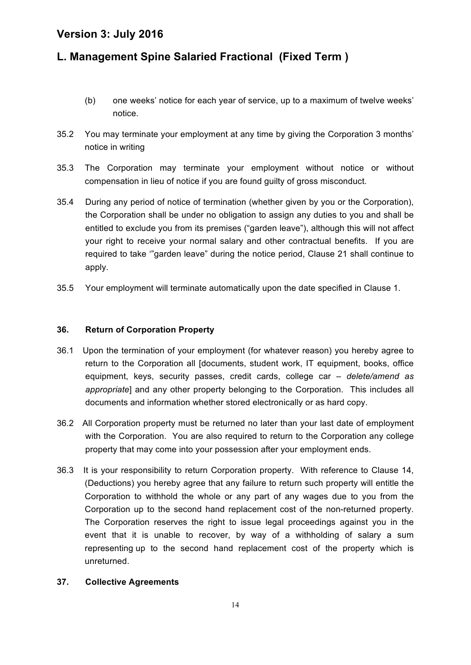# **L. Management Spine Salaried Fractional (Fixed Term )**

- (b) one weeks' notice for each year of service, up to a maximum of twelve weeks' notice.
- 35.2 You may terminate your employment at any time by giving the Corporation 3 months' notice in writing
- 35.3 The Corporation may terminate your employment without notice or without compensation in lieu of notice if you are found guilty of gross misconduct.
- 35.4 During any period of notice of termination (whether given by you or the Corporation), the Corporation shall be under no obligation to assign any duties to you and shall be entitled to exclude you from its premises ("garden leave"), although this will not affect your right to receive your normal salary and other contractual benefits. If you are required to take '"garden leave" during the notice period, Clause 21 shall continue to apply.
- 35.5 Your employment will terminate automatically upon the date specified in Clause 1.

#### **36. Return of Corporation Property**

- 36.1 Upon the termination of your employment (for whatever reason) you hereby agree to return to the Corporation all [documents, student work, IT equipment, books, office equipment, keys, security passes, credit cards, college car *– delete/amend as appropriate*] and any other property belonging to the Corporation. This includes all documents and information whether stored electronically or as hard copy.
- 36.2 All Corporation property must be returned no later than your last date of employment with the Corporation. You are also required to return to the Corporation any college property that may come into your possession after your employment ends.
- 36.3 It is your responsibility to return Corporation property. With reference to Clause 14, (Deductions) you hereby agree that any failure to return such property will entitle the Corporation to withhold the whole or any part of any wages due to you from the Corporation up to the second hand replacement cost of the non-returned property. The Corporation reserves the right to issue legal proceedings against you in the event that it is unable to recover, by way of a withholding of salary a sum representing up to the second hand replacement cost of the property which is unreturned.

#### **37. Collective Agreements**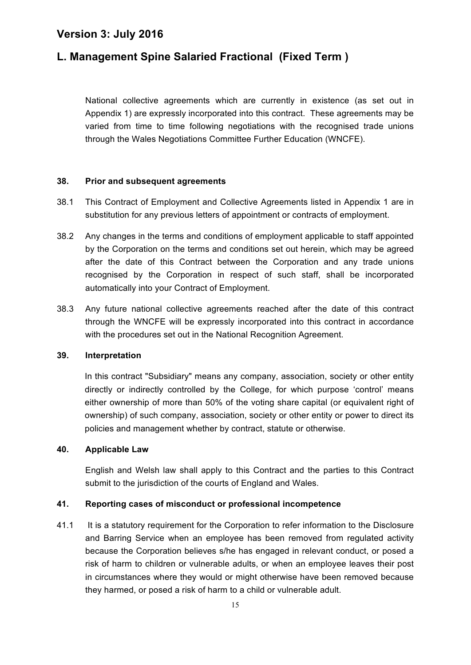# **L. Management Spine Salaried Fractional (Fixed Term )**

National collective agreements which are currently in existence (as set out in Appendix 1) are expressly incorporated into this contract. These agreements may be varied from time to time following negotiations with the recognised trade unions through the Wales Negotiations Committee Further Education (WNCFE).

#### **38. Prior and subsequent agreements**

- 38.1 This Contract of Employment and Collective Agreements listed in Appendix 1 are in substitution for any previous letters of appointment or contracts of employment.
- 38.2 Any changes in the terms and conditions of employment applicable to staff appointed by the Corporation on the terms and conditions set out herein, which may be agreed after the date of this Contract between the Corporation and any trade unions recognised by the Corporation in respect of such staff, shall be incorporated automatically into your Contract of Employment.
- 38.3 Any future national collective agreements reached after the date of this contract through the WNCFE will be expressly incorporated into this contract in accordance with the procedures set out in the National Recognition Agreement.

#### **39. Interpretation**

In this contract "Subsidiary" means any company, association, society or other entity directly or indirectly controlled by the College, for which purpose 'control' means either ownership of more than 50% of the voting share capital (or equivalent right of ownership) of such company, association, society or other entity or power to direct its policies and management whether by contract, statute or otherwise.

#### **40. Applicable Law**

English and Welsh law shall apply to this Contract and the parties to this Contract submit to the jurisdiction of the courts of England and Wales.

#### **41. Reporting cases of misconduct or professional incompetence**

41.1 It is a statutory requirement for the Corporation to refer information to the Disclosure and Barring Service when an employee has been removed from regulated activity because the Corporation believes s/he has engaged in relevant conduct, or posed a risk of harm to children or vulnerable adults, or when an employee leaves their post in circumstances where they would or might otherwise have been removed because they harmed, or posed a risk of harm to a child or vulnerable adult.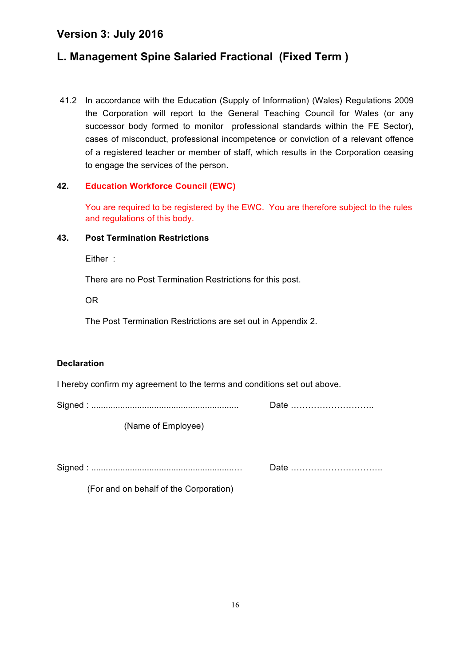# **L. Management Spine Salaried Fractional (Fixed Term )**

41.2 In accordance with the Education (Supply of Information) (Wales) Regulations 2009 the Corporation will report to the General Teaching Council for Wales (or any successor body formed to monitor professional standards within the FE Sector), cases of misconduct, professional incompetence or conviction of a relevant offence of a registered teacher or member of staff, which results in the Corporation ceasing to engage the services of the person.

#### **42. Education Workforce Council (EWC)**

You are required to be registered by the EWC. You are therefore subject to the rules and regulations of this body.

#### **43. Post Termination Restrictions**

Either :

There are no Post Termination Restrictions for this post.

OR

The Post Termination Restrictions are set out in Appendix 2.

#### **Declaration**

I hereby confirm my agreement to the terms and conditions set out above.

Signed : ............................................................. Date ………………………..

(Name of Employee)

Signed : ...........................................................… Date …………………………..

(For and on behalf of the Corporation)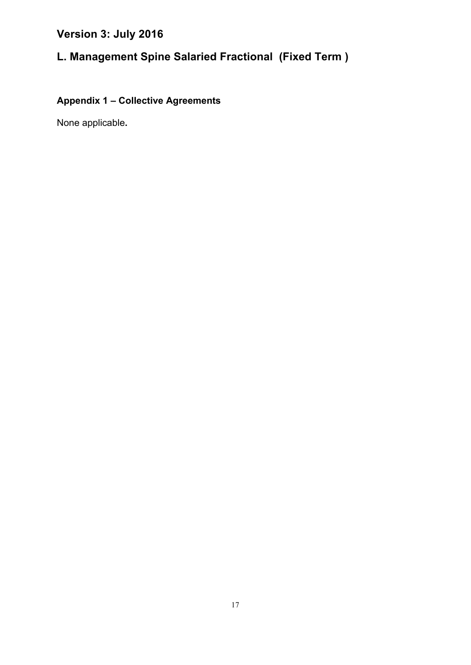# **L. Management Spine Salaried Fractional (Fixed Term )**

# **Appendix 1 – Collective Agreements**

None applicable**.**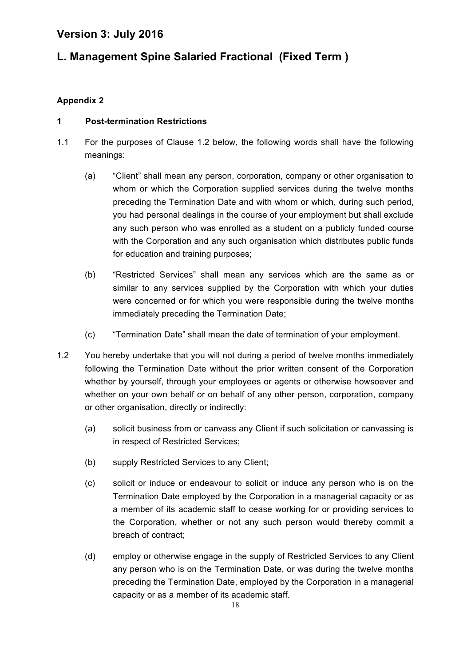# **L. Management Spine Salaried Fractional (Fixed Term )**

#### **Appendix 2**

#### **1 Post-termination Restrictions**

- 1.1 For the purposes of Clause 1.2 below, the following words shall have the following meanings:
	- (a) "Client" shall mean any person, corporation, company or other organisation to whom or which the Corporation supplied services during the twelve months preceding the Termination Date and with whom or which, during such period, you had personal dealings in the course of your employment but shall exclude any such person who was enrolled as a student on a publicly funded course with the Corporation and any such organisation which distributes public funds for education and training purposes;
	- (b) "Restricted Services" shall mean any services which are the same as or similar to any services supplied by the Corporation with which your duties were concerned or for which you were responsible during the twelve months immediately preceding the Termination Date;
	- (c) "Termination Date" shall mean the date of termination of your employment.
- 1.2 You hereby undertake that you will not during a period of twelve months immediately following the Termination Date without the prior written consent of the Corporation whether by yourself, through your employees or agents or otherwise howsoever and whether on your own behalf or on behalf of any other person, corporation, company or other organisation, directly or indirectly:
	- (a) solicit business from or canvass any Client if such solicitation or canvassing is in respect of Restricted Services;
	- (b) supply Restricted Services to any Client;
	- (c) solicit or induce or endeavour to solicit or induce any person who is on the Termination Date employed by the Corporation in a managerial capacity or as a member of its academic staff to cease working for or providing services to the Corporation, whether or not any such person would thereby commit a breach of contract;
	- (d) employ or otherwise engage in the supply of Restricted Services to any Client any person who is on the Termination Date, or was during the twelve months preceding the Termination Date, employed by the Corporation in a managerial capacity or as a member of its academic staff.